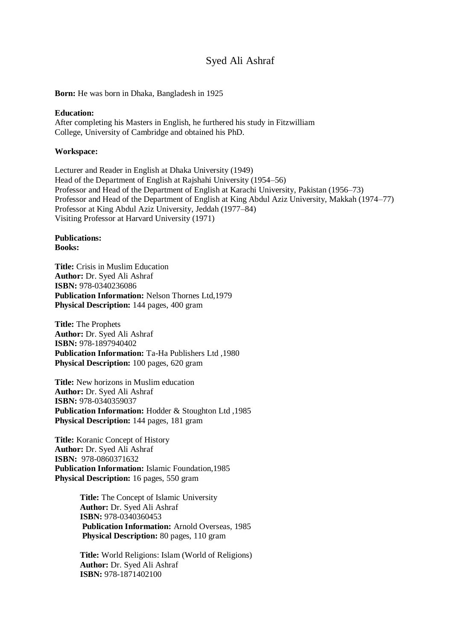# Syed Ali Ashraf

**Born:** He was born in Dhaka, Bangladesh in 1925

## **Education:**

After completing his Masters in English, he furthered his study in Fitzwilliam College, University of Cambridge and obtained his PhD.

### **Workspace:**

Lecturer and Reader in English at Dhaka University (1949) Head of the Department of English at Rajshahi University (1954–56) Professor and Head of the Department of English at Karachi University, Pakistan (1956–73) Professor and Head of the Department of English at King Abdul Aziz University, Makkah (1974–77) Professor at King Abdul Aziz University, Jeddah (1977–84) Visiting Professor at Harvard University (1971)

## **Publications: Books:**

**Title:** Crisis in Muslim Education **Author:** Dr. Syed Ali Ashraf **ISBN:** 978-0340236086 **Publication Information:** Nelson Thornes Ltd,1979 **Physical Description:** 144 pages, 400 gram

**Title:** The Prophets **Author:** Dr. Syed Ali Ashraf **ISBN:** 978-1897940402 **Publication Information:** Ta-Ha Publishers Ltd ,1980 **Physical Description:** 100 pages, 620 gram

**Title:** New horizons in Muslim education **Author:** Dr. Syed Ali Ashraf **ISBN:** 978-0340359037 **Publication Information:** Hodder & Stoughton Ltd ,1985 **Physical Description:** 144 pages, 181 gram

**Title:** Koranic Concept of History **Author:** Dr. Syed Ali Ashraf **ISBN:** 978-0860371632 **Publication Information:** Islamic Foundation,1985 **Physical Description:** 16 pages, 550 gram

> **Title:** The Concept of Islamic University  **Author:** Dr. Syed Ali Ashraf  **ISBN:** 978-0340360453  **Publication Information:** Arnold Overseas, 1985  **Physical Description:** 80 pages, 110 gram

> **Title:** World Religions: Islam (World of Religions)  **Author:** Dr. Syed Ali Ashraf  **ISBN:** 978-1871402100